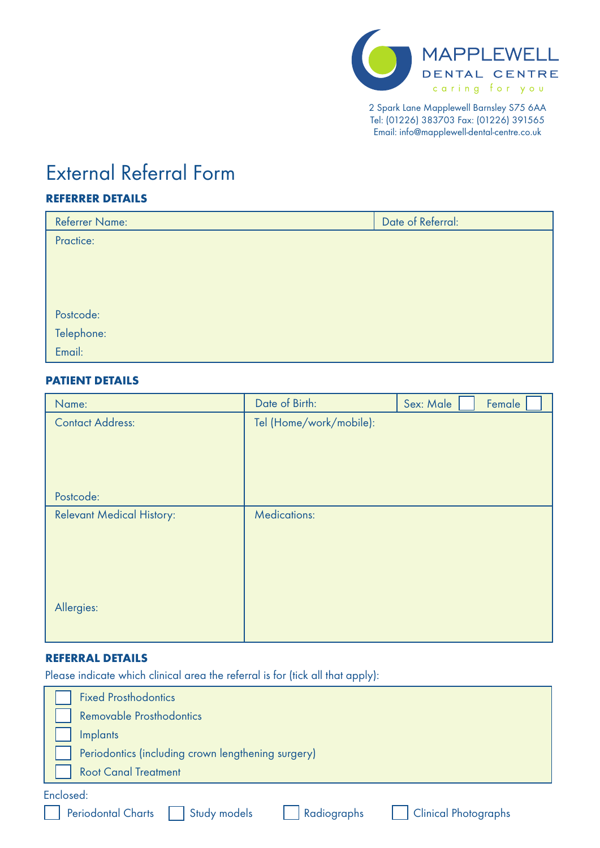

2 Spark Lane Mapplewell Barnsley S75 6AA Tel: (01226) 383703 Fax: (01226) 391565 Email: info@mapplewell-dental-centre.co.uk

# External Referral Form

## **REFERRER DETAILS**

| <b>Referrer Name:</b> | Date of Referral: |
|-----------------------|-------------------|
| Practice:             |                   |
|                       |                   |
|                       |                   |
|                       |                   |
| Postcode:             |                   |
| Telephone:            |                   |
| Email:                |                   |

#### **PATIENT DETAILS**

| Name:                            | Date of Birth:          | Sex: Male | Female |
|----------------------------------|-------------------------|-----------|--------|
| <b>Contact Address:</b>          | Tel (Home/work/mobile): |           |        |
|                                  |                         |           |        |
|                                  |                         |           |        |
|                                  |                         |           |        |
| Postcode:                        |                         |           |        |
| <b>Relevant Medical History:</b> | <b>Medications:</b>     |           |        |
|                                  |                         |           |        |
|                                  |                         |           |        |
|                                  |                         |           |        |
|                                  |                         |           |        |
| Allergies:                       |                         |           |        |
|                                  |                         |           |        |

### **REFERRAL DETAILS**

Please indicate which clinical area the referral is for (tick all that apply):

| <b>Fixed Prosthodontics</b>               |                                                    |                             |  |  |  |  |
|-------------------------------------------|----------------------------------------------------|-----------------------------|--|--|--|--|
| <b>Removable Prosthodontics</b>           |                                                    |                             |  |  |  |  |
| <b>Implants</b>                           |                                                    |                             |  |  |  |  |
|                                           | Periodontics (including crown lengthening surgery) |                             |  |  |  |  |
| <b>Root Canal Treatment</b>               |                                                    |                             |  |  |  |  |
| Enclosed:                                 |                                                    |                             |  |  |  |  |
| <b>Periodontal Charts</b><br>Study models | Radiographs                                        | <b>Clinical Photographs</b> |  |  |  |  |
|                                           |                                                    |                             |  |  |  |  |